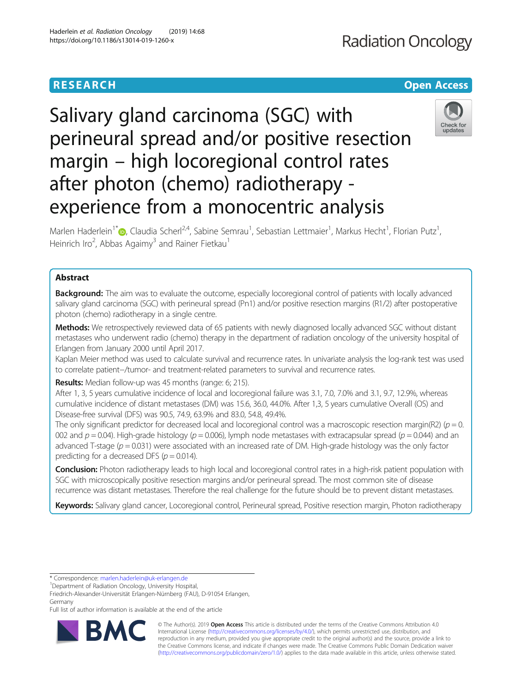## **RESEARCH CHINESE ARCHITECT ACCESS**

# Salivary gland carcinoma (SGC) with perineural spread and/or positive resection margin – high locoregional control rates after photon (chemo) radiotherapy experience from a monocentric analysis



Marlen Haderlein<sup>1\*</sup>®[,](http://orcid.org/0000-0002-7986-2169) Claudia Scherl<sup>2,4</sup>, Sabine Semrau<sup>1</sup>, Sebastian Lettmaier<sup>1</sup>, Markus Hecht<sup>1</sup>, Florian Putz<sup>1</sup> , Heinrich Iro<sup>2</sup>, Abbas Agaimy<sup>3</sup> and Rainer Fietkau<sup>1</sup>

### Abstract

**Background:** The aim was to evaluate the outcome, especially locoregional control of patients with locally advanced salivary gland carcinoma (SGC) with perineural spread (Pn1) and/or positive resection margins (R1/2) after postoperative photon (chemo) radiotherapy in a single centre.

Methods: We retrospectively reviewed data of 65 patients with newly diagnosed locally advanced SGC without distant metastases who underwent radio (chemo) therapy in the department of radiation oncology of the university hospital of Erlangen from January 2000 until April 2017.

Kaplan Meier method was used to calculate survival and recurrence rates. In univariate analysis the log-rank test was used to correlate patient−/tumor- and treatment-related parameters to survival and recurrence rates.

Results: Median follow-up was 45 months (range: 6; 215).

After 1, 3, 5 years cumulative incidence of local and locoregional failure was 3.1, 7.0, 7.0% and 3.1, 9.7, 12.9%, whereas cumulative incidence of distant metastases (DM) was 15.6, 36.0, 44.0%. After 1,3, 5 years cumulative Overall (OS) and Disease-free survival (DFS) was 90.5, 74.9, 63.9% and 83.0, 54.8, 49.4%.

The only significant predictor for decreased local and locoregional control was a macroscopic resection margin(R2) ( $p = 0$ . 002 and  $p = 0.04$ ). High-grade histology ( $p = 0.006$ ), lymph node metastases with extracapsular spread ( $p = 0.044$ ) and an advanced T-stage ( $p = 0.031$ ) were associated with an increased rate of DM. High-grade histology was the only factor predicting for a decreased DFS ( $p = 0.014$ ).

Conclusion: Photon radiotherapy leads to high local and locoregional control rates in a high-risk patient population with SGC with microscopically positive resection margins and/or perineural spread. The most common site of disease recurrence was distant metastases. Therefore the real challenge for the future should be to prevent distant metastases.

Keywords: Salivary gland cancer, Locoregional control, Perineural spread, Positive resection margin, Photon radiotherapy

Full list of author information is available at the end of the article



© The Author(s). 2019 **Open Access** This article is distributed under the terms of the Creative Commons Attribution 4.0 International License [\(http://creativecommons.org/licenses/by/4.0/](http://creativecommons.org/licenses/by/4.0/)), which permits unrestricted use, distribution, and reproduction in any medium, provided you give appropriate credit to the original author(s) and the source, provide a link to the Creative Commons license, and indicate if changes were made. The Creative Commons Public Domain Dedication waiver [\(http://creativecommons.org/publicdomain/zero/1.0/](http://creativecommons.org/publicdomain/zero/1.0/)) applies to the data made available in this article, unless otherwise stated.

<sup>\*</sup> Correspondence: [marlen.haderlein@uk-erlangen.de](mailto:marlen.haderlein@uk-erlangen.de) <sup>1</sup>

<sup>&</sup>lt;sup>1</sup>Department of Radiation Oncology, University Hospital,

Friedrich-Alexander-Universität Erlangen-Nürnberg (FAU), D-91054 Erlangen, Germany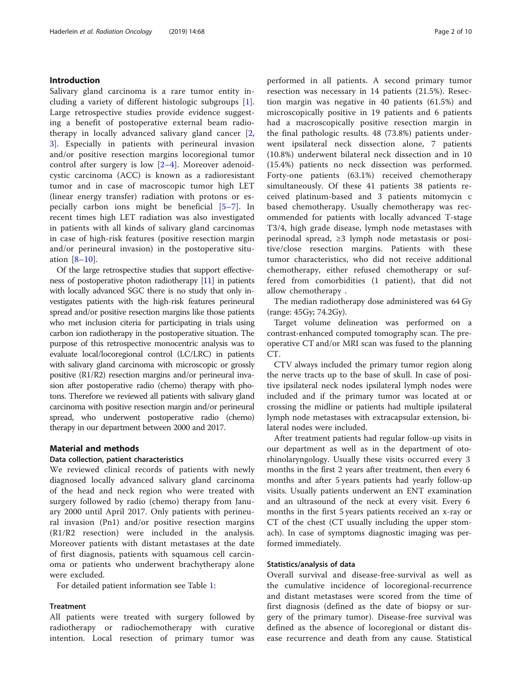### Introduction

Salivary gland carcinoma is a rare tumor entity including a variety of different histologic subgroups [\[1](#page-8-0)]. Large retrospective studies provide evidence suggesting a benefit of postoperative external beam radiotherapy in locally advanced salivary gland cancer [\[2](#page-8-0), [3\]](#page-8-0). Especially in patients with perineural invasion and/or positive resection margins locoregional tumor control after surgery is low [[2](#page-8-0)–[4\]](#page-8-0). Moreover adenoidcystic carcinoma (ACC) is known as a radioresistant tumor and in case of macroscopic tumor high LET (linear energy transfer) radiation with protons or especially carbon ions might be beneficial [\[5](#page-8-0)–[7](#page-8-0)]. In recent times high LET radiation was also investigated in patients with all kinds of salivary gland carcinomas in case of high-risk features (positive resection margin and/or perineural invasion) in the postoperative situation [[8](#page-8-0)–[10](#page-8-0)].

Of the large retrospective studies that support effectiveness of postoperative photon radiotherapy [\[11\]](#page-8-0) in patients with locally advanced SGC there is no study that only investigates patients with the high-risk features perineural spread and/or positive resection margins like those patients who met inclusion citeria for participating in trials using carbon ion radiotherapy in the postoperative situation. The purpose of this retrospective monocentric analysis was to evaluate local/locoregional control (LC/LRC) in patients with salivary gland carcinoma with microscopic or grossly positive (R1/R2) resection margins and/or perineural invasion after postoperative radio (chemo) therapy with photons. Therefore we reviewed all patients with salivary gland carcinoma with positive resection margin and/or perineural spread, who underwent postoperative radio (chemo) therapy in our department between 2000 and 2017.

### Material and methods

### Data collection, patient characteristics

We reviewed clinical records of patients with newly diagnosed locally advanced salivary gland carcinoma of the head and neck region who were treated with surgery followed by radio (chemo) therapy from January 2000 until April 2017. Only patients with perineural invasion (Pn1) and/or positive resection margins (R1/R2 resection) were included in the analysis. Moreover patients with distant metastases at the date of first diagnosis, patients with squamous cell carcinoma or patients who underwent brachytherapy alone were excluded.

For detailed patient information see Table [1](#page-2-0):

### Treatment

All patients were treated with surgery followed by radiotherapy or radiochemotherapy with curative intention. Local resection of primary tumor was performed in all patients. A second primary tumor resection was necessary in 14 patients (21.5%). Resection margin was negative in 40 patients (61.5%) and microscopically positive in 19 patients and 6 patients had a macroscopically positive resection margin in the final pathologic results. 48 (73.8%) patients underwent ipsilateral neck dissection alone, 7 patients (10.8%) underwent bilateral neck dissection and in 10 (15.4%) patients no neck dissection was performed. Forty-one patients (63.1%) received chemotherapy simultaneously. Of these 41 patients 38 patients received platinum-based and 3 patients mitomycin c based chemotherapy. Usually chemotherapy was recommended for patients with locally advanced T-stage T3/4, high grade disease, lymph node metastases with perinodal spread, ≥3 lymph node metastasis or positive/close resection margins. Patients with these tumor characteristics, who did not receive additional chemotherapy, either refused chemotherapy or suffered from comorbidities (1 patient), that did not allow chemotherapy .

The median radiotherapy dose administered was 64 Gy (range: 45Gy; 74.2Gy).

Target volume delineation was performed on a contrast-enhanced computed tomography scan. The preoperative CT and/or MRI scan was fused to the planning CT.

CTV always included the primary tumor region along the nerve tracts up to the base of skull. In case of positive ipsilateral neck nodes ipsilateral lymph nodes were included and if the primary tumor was located at or crossing the midline or patients had multiple ipsilateral lymph node metastases with extracapsular extension, bilateral nodes were included.

After treatment patients had regular follow-up visits in our department as well as in the department of otorhinolaryngology. Usually these visits occurred every 3 months in the first 2 years after treatment, then every 6 months and after 5 years patients had yearly follow-up visits. Usually patients underwent an ENT examination and an ultrasound of the neck at every visit. Every 6 months in the first 5 years patients received an x-ray or CT of the chest (CT usually including the upper stomach). In case of symptoms diagnostic imaging was performed immediately.

### Statistics/analysis of data

Overall survival and disease-free-survival as well as the cumulative incidence of locoregional-recurrence and distant metastases were scored from the time of first diagnosis (defined as the date of biopsy or surgery of the primary tumor). Disease-free survival was defined as the absence of locoregional or distant disease recurrence and death from any cause. Statistical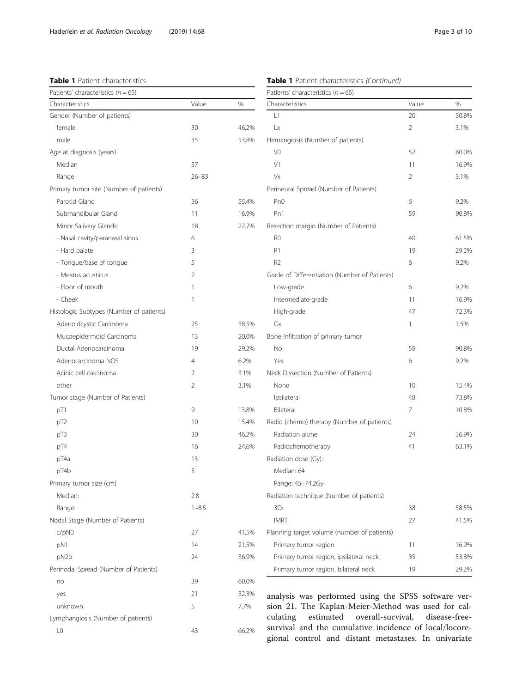### <span id="page-2-0"></span>Table 1 Patient characteristics

| Patients' characteristics ( $n = 65$ )   |                |       |
|------------------------------------------|----------------|-------|
| Characteristics                          | Value          | %     |
| Gender (Number of patients)              |                |       |
| female                                   | 30             | 46.2% |
| male                                     | 35             | 53.8% |
| Age at diagnosis (years)                 |                |       |
| Median                                   | 57             |       |
| Range                                    | $26 - 83$      |       |
| Primary tumor site (Number of patients)  |                |       |
| Parotid Gland                            | 36             | 55.4% |
| Submandibular Gland                      | 11             | 16.9% |
| Minor Salivary Glands:                   | 18             | 27.7% |
| - Nasal cavity/paranasal sinus           | 6              |       |
| - Hard palate                            | 3              |       |
| - Tongue/base of tongue                  | 5              |       |
| - Meatus acusticus                       | $\mathfrak{D}$ |       |
| - Floor of mouth                         | 1              |       |
| - Cheek                                  | 1              |       |
| Histologic Subtypes (Number of patients) |                |       |
| Adenoidcystic Carcinoma                  | 25             | 38.5% |
| Mucoepidermoid Carcinoma                 | 13             | 20.0% |
| Ductal Adenocarcinoma                    | 19             | 29.2% |
| Adenocarcinoma NOS                       | $\overline{4}$ | 6.2%  |
| Acinic cell carcinoma                    | 2              | 3.1%  |
| other                                    | $\mathfrak{D}$ | 3.1%  |
| Tumor stage (Number of Patients)         |                |       |
| pT1                                      | 9              | 13.8% |
| pT2                                      | 10             | 15.4% |
| pT3                                      | 30             | 46.2% |
| pT4                                      | 16             | 24.6% |
| pT4a                                     | 13             |       |
| pT4b                                     | 3              |       |
| Primary tumor size (cm)                  |                |       |
| Median:                                  | 2.8            |       |
| Range:                                   | $1 - 8.5$      |       |
| Nodal Stage (Number of Patients)         |                |       |
| $c$ / $pN0$                              | 27             | 41.5% |
| pN1                                      | 14             | 21.5% |
| pN2b                                     | 24             | 36.9% |
| Perinodal Spread (Number of Patients)    |                |       |
| no                                       | 39             | 60.0% |
| yes                                      | 21             | 32.3% |
| unknown                                  | 5              | 7.7%  |
| Lymphangiosis (Number of patients)       |                |       |
| L <sub>0</sub>                           | 43             | 66.2% |
|                                          |                |       |

| Patients' characteristics ( $n = 65$ )        |       |       |
|-----------------------------------------------|-------|-------|
| Characteristics                               | Value | %     |
| L1                                            | 20    | 30.8% |
| Lx                                            | 2     | 3.1%  |
| Hemangiosis (Number of patients)              |       |       |
| V <sub>0</sub>                                | 52    | 80.0% |
| V <sub>1</sub>                                | 11    | 16.9% |
| Vx                                            | 2     | 3.1%  |
| Perineural Spread (Number of Patients)        |       |       |
| Pn0                                           | 6     | 9.2%  |
| Pn1                                           | 59    | 90.8% |
| Resection margin (Number of Patients)         |       |       |
| R0                                            | 40    | 61.5% |
| R1                                            | 19    | 29.2% |
| R <sub>2</sub>                                | 6     | 9.2%  |
| Grade of Differentiation (Number of Patients) |       |       |
| Low-grade                                     | 6     | 9.2%  |
| Intermediate-grade                            | 11    | 16.9% |
| High-grade                                    | 47    | 72.3% |
| Gx                                            | 1     | 1.5%  |
| Bone Infiltration of primary tumor            |       |       |
| No                                            | 59    | 90.8% |
| Yes                                           | 6     | 9.2%  |
| Neck Dissection (Number of Patients)          |       |       |
| None                                          | 10    | 15.4% |
| Ipsilateral                                   | 48    | 73.8% |
| Bilateral                                     | 7     | 10.8% |
| Radio (chemo) therapy (Number of patients)    |       |       |
| Radiation alone                               | 24    | 36.9% |
| Radiochemotherapy                             | 41    | 63.1% |
| Radiation dose (Gy):                          |       |       |
| Median: 64                                    |       |       |
| Range: 45-74.2Gy                              |       |       |
| Radiation technique (Number of patients)      |       |       |
| 3D:                                           | 38    | 58.5% |
| IMRT:                                         | 27    | 41.5% |
| Planning target volume (number of patients)   |       |       |
| Primary tumor region                          | 11    | 16.9% |
| Primary tumor region, ipsilateral neck        | 35    | 53.8% |
| Primary tumor region, bilateral neck          | 19    | 29.2% |

analysis was performed using the SPSS software version 21. The Kaplan-Meier-Method was used for calculating estimated overall-survival, disease-freesurvival and the cumulative incidence of local/locoregional control and distant metastases. In univariate

### Table 1 Patient characteristics (Continued)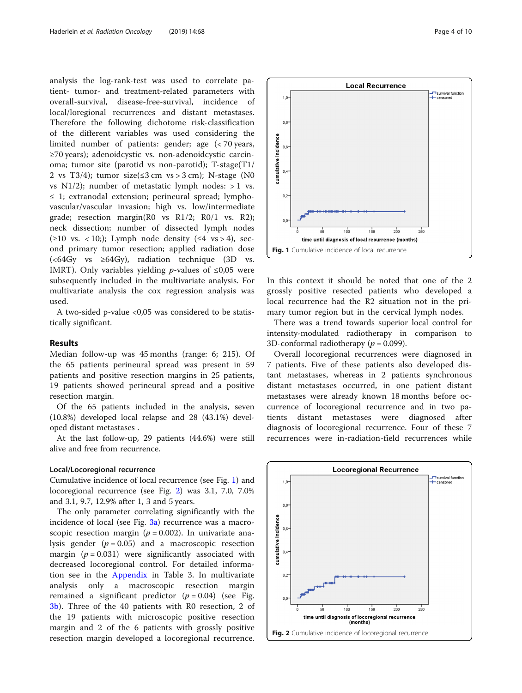analysis the log-rank-test was used to correlate patient- tumor- and treatment-related parameters with overall-survival, disease-free-survival, incidence of local/loregional recurrences and distant metastases. Therefore the following dichotome risk-classification of the different variables was used considering the limited number of patients: gender; age (< 70 years, ≥70 years); adenoidcystic vs. non-adenoidcystic carcinoma; tumor site (parotid vs non-parotid); T-stage(T1/ 2 vs T3/4); tumor size( $\leq$ 3 cm vs > 3 cm); N-stage (N0 vs  $N1/2$ ); number of metastatic lymph nodes:  $> 1$  vs. ≤ 1; extranodal extension; perineural spread; lymphovascular/vascular invasion; high vs. low/intermediate grade; resection margin(R0 vs R1/2; R0/1 vs. R2); neck dissection; number of dissected lymph nodes ( $\geq$ 10 vs. < 10;); Lymph node density ( $\leq$ 4 vs > 4), second primary tumor resection; applied radiation dose  $\left( < 64\text{Gy} \right)$  vs  $\geq 64\text{Gy}$ , radiation technique (3D vs. IMRT). Only variables yielding *p*-values of  $\leq 0.05$  were subsequently included in the multivariate analysis. For multivariate analysis the cox regression analysis was used.

A two-sided p-value <0,05 was considered to be statistically significant.

### Results

Median follow-up was 45 months (range: 6; 215). Of the 65 patients perineural spread was present in 59 patients and positive resection margins in 25 patients, 19 patients showed perineural spread and a positive resection margin.

Of the 65 patients included in the analysis, seven (10.8%) developed local relapse and 28 (43.1%) developed distant metastases .

At the last follow-up, 29 patients (44.6%) were still alive and free from recurrence.

### Local/Locoregional recurrence

Cumulative incidence of local recurrence (see Fig. 1) and locoregional recurrence (see Fig. 2) was 3.1, 7.0, 7.0% and 3.1, 9.7, 12.9% after 1, 3 and 5 years.

The only parameter correlating significantly with the incidence of local (see Fig. [3a\)](#page-4-0) recurrence was a macroscopic resection margin ( $p = 0.002$ ). In univariate analysis gender  $(p = 0.05)$  and a macroscopic resection margin ( $p = 0.031$ ) were significantly associated with decreased locoregional control. For detailed information see in the Appendix in Table 3. In multivariate analysis only a macroscopic resection margin remained a significant predictor  $(p = 0.04)$  (see Fig. [3b\)](#page-4-0). Three of the 40 patients with R0 resection, 2 of the 19 patients with microscopic positive resection margin and 2 of the 6 patients with grossly positive resection margin developed a locoregional recurrence.



In this context it should be noted that one of the 2 grossly positive resected patients who developed a local recurrence had the R2 situation not in the primary tumor region but in the cervical lymph nodes.

There was a trend towards superior local control for intensity-modulated radiotherapy in comparison to 3D-conformal radiotherapy ( $p = 0.099$ ).

Overall locoregional recurrences were diagnosed in 7 patients. Five of these patients also developed distant metastases, whereas in 2 patients synchronous distant metastases occurred, in one patient distant metastases were already known 18 months before occurrence of locoregional recurrence and in two patients distant metastases were diagnosed after diagnosis of locoregional recurrence. Four of these 7 recurrences were in-radiation-field recurrences while

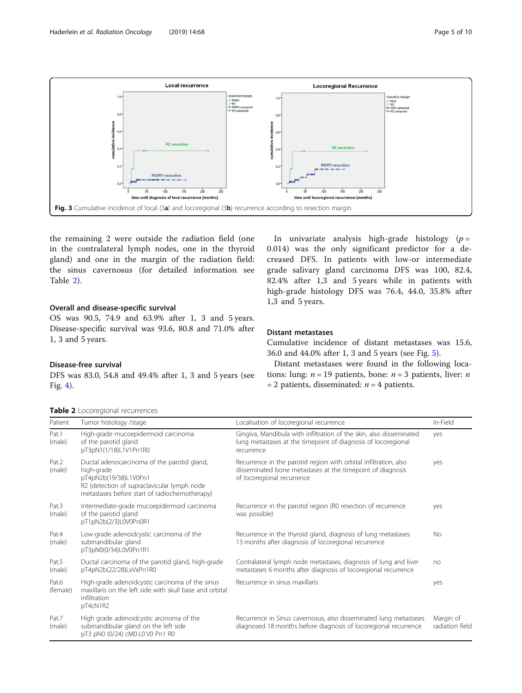<span id="page-4-0"></span>

the remaining 2 were outside the radiation field (one in the contralateral lymph nodes, one in the thyroid gland) and one in the margin of the radiation field: the sinus cavernosus (for detailed information see Table 2).

### Overall and disease-specific survival

OS was 90.5, 74.9 and 63.9% after 1, 3 and 5 years. Disease-specific survival was 93.6, 80.8 and 71.0% after 1, 3 and 5 years.

### Disease-free survival

DFS was 83.0, 54.8 and 49.4% after 1, 3 and 5 years (see Fig. [4](#page-5-0)).

In univariate analysis high-grade histology  $(p =$ 0.014) was the only significant predictor for a decreased DFS. In patients with low-or intermediate grade salivary gland carcinoma DFS was 100, 82.4, 82.4% after 1,3 and 5 years while in patients with high-grade histology DFS was 76.4, 44.0, 35.8% after 1,3 and 5 years.

### Distant metastases

Cumulative incidence of distant metastases was 15.6, 36.0 and 44.0% after 1, 3 and 5 years (see Fig. [5\)](#page-5-0).

Distant metastases were found in the following locations: lung:  $n = 19$  patients, bone:  $n = 3$  patients, liver: *n*  $= 2$  patients, disseminated:  $n = 4$  patients.

| Table 2 Locoregional recurrences |  |
|----------------------------------|--|
|----------------------------------|--|

| Patient           | Tumor histology /stage                                                                                                                                                             | Localisation of locoregional recurrence                                                                                                                      | In-Field                     |
|-------------------|------------------------------------------------------------------------------------------------------------------------------------------------------------------------------------|--------------------------------------------------------------------------------------------------------------------------------------------------------------|------------------------------|
| Pat.1<br>(male)   | High-grade mucoepidermoid carcinoma<br>of the parotid gland<br>pT3pN1(1/18)L1V1Pn1R0                                                                                               | Gingiva, Mandibula with infiltration of the skin, also disseminated<br>lung metastases at the timepoint of diagnosis of locoregional<br>recurrence           | yes                          |
| Pat.2<br>(male)   | Ductal adenocarcinoma of the parotid gland,<br>high-grade<br>pT4pN2b(19/38)L1V0Pn1<br>R2 (detection of supraclavicular lymph node<br>metastases before start of radiochemotherapy) | Recurrence in the parotid region with orbital infiltration, also<br>disseminated bone metastases at the timepoint of diagnosis<br>of locoregional recurrence | yes                          |
| Pat.3<br>(male)   | Intermediate-grade mucoepidermoid carcinoma<br>of the parotid gland<br>pT1pN2b(2/3)L0V0Pn0R1                                                                                       | Recurrence in the parotid region (R0 resection of recurrence<br>was possible)                                                                                | yes                          |
| Pat.4<br>(male)   | Low-grade adenoidcystic carcinoma of the<br>submandibular gland<br>pT3pN0(0/34)L0V0Pn1R1                                                                                           | Recurrence in the thyroid gland, diagnosis of lung metastases<br>13 months after diagnosis of locoregional recurrence                                        | <b>No</b>                    |
| Pat.5<br>(male)   | Ductal carcinoma of the parotid gland, high-grade<br>pT4pN2b(22/28)LxVxPn1R0                                                                                                       | Contralateral lymph node metastases, diagnosis of lung and liver<br>metastases 6 months after diagnosis of locoregional recurrence                           | no                           |
| Pat.6<br>(female) | High-grade adenoidcystic carcinoma of the sinus<br>maxillaris on the left side with skull base and orbital<br>infiltration<br>pT4cN1R2                                             | Recurrence in sinus maxillaris                                                                                                                               | yes                          |
| Pat.7<br>(male)   | High grade adenoidcystic arcinoma of the<br>submandibular gland on the left side<br>pT3 pN0 (0/24) cM0 L0 V0 Pn1 R0                                                                | Recurrence in Sinus cavernosus, also disseminated lung metastases<br>diagnosed 18 months before diagnosis of locoregional recurrence                         | Margin of<br>radiation field |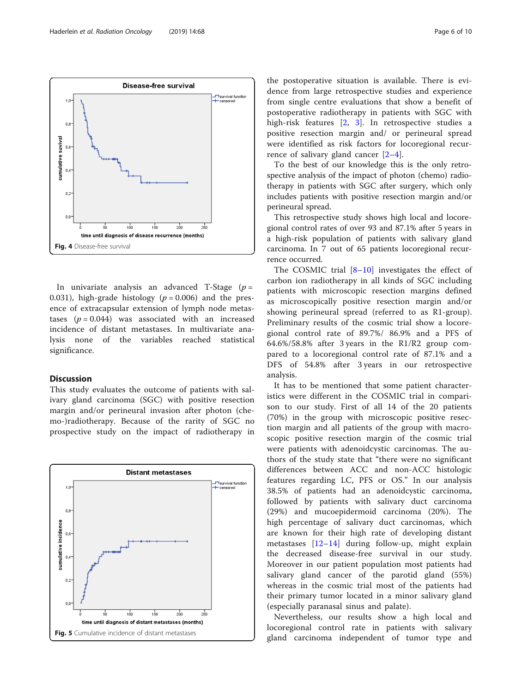0.031), high-grade histology ( $p = 0.006$ ) and the presence of extracapsular extension of lymph node metastases  $(p = 0.044)$  was associated with an increased incidence of distant metastases. In multivariate analysis none of the variables reached statistical

 $150$ 

time until diagnosis of disease recurrence (months)

 $200$ 

 $250$ 

Fig. 4 Disease-free survival

 $50^{-1}$ 

 $100$ 

<span id="page-5-0"></span> $10$ 

 $0.1$ 

 $\overline{a}$ 

 $0,$ 

 $0.0$ 

sumulative suvival  $0.6$ 

ivary gland carcinoma (SGC) with positive resection margin and/or perineural invasion after photon (chemo-)radiotherapy. Because of the rarity of SGC no prospective study on the impact of radiotherapy in

**Distant metastases** —<br>├─survival function<br>├─censored  $1.0$  $0.8$ sumulative incidence  $0.6$  $0,4$  $0,2$  $0.0$  $50$  $100$  $150$  $200$  $250$ time until diagnosis of distant metastases (months) Fig. 5 Cumulative incidence of distant metastases

the postoperative situation is available. There is evidence from large retrospective studies and experience from single centre evaluations that show a benefit of postoperative radiotherapy in patients with SGC with high-risk features [\[2](#page-8-0), [3](#page-8-0)]. In retrospective studies a positive resection margin and/ or perineural spread were identified as risk factors for locoregional recurrence of salivary gland cancer [\[2](#page-8-0)–[4](#page-8-0)].

To the best of our knowledge this is the only retrospective analysis of the impact of photon (chemo) radiotherapy in patients with SGC after surgery, which only includes patients with positive resection margin and/or perineural spread.

This retrospective study shows high local and locoregional control rates of over 93 and 87.1% after 5 years in a high-risk population of patients with salivary gland carcinoma. In 7 out of 65 patients locoregional recurrence occurred.

The COSMIC trial [[8](#page-8-0)–[10\]](#page-8-0) investigates the effect of carbon ion radiotherapy in all kinds of SGC including patients with microscopic resection margins defined as microscopically positive resection margin and/or showing perineural spread (referred to as R1-group). Preliminary results of the cosmic trial show a locoregional control rate of 89.7%/ 86.9% and a PFS of 64.6%/58.8% after 3 years in the R1/R2 group compared to a locoregional control rate of 87.1% and a DFS of 54.8% after 3 years in our retrospective analysis.

It has to be mentioned that some patient characteristics were different in the COSMIC trial in comparison to our study. First of all 14 of the 20 patients (70%) in the group with microscopic positive resection margin and all patients of the group with macroscopic positive resection margin of the cosmic trial were patients with adenoidcystic carcinomas. The authors of the study state that "there were no significant differences between ACC and non-ACC histologic features regarding LC, PFS or OS." In our analysis 38.5% of patients had an adenoidcystic carcinoma, followed by patients with salivary duct carcinoma (29%) and mucoepidermoid carcinoma (20%). The high percentage of salivary duct carcinomas, which are known for their high rate of developing distant metastases [\[12](#page-9-0)–[14](#page-9-0)] during follow-up, might explain the decreased disease-free survival in our study. Moreover in our patient population most patients had salivary gland cancer of the parotid gland (55%) whereas in the cosmic trial most of the patients had their primary tumor located in a minor salivary gland (especially paranasal sinus and palate).

Nevertheless, our results show a high local and locoregional control rate in patients with salivary gland carcinoma independent of tumor type and



Disease-free survival

**□**survival functio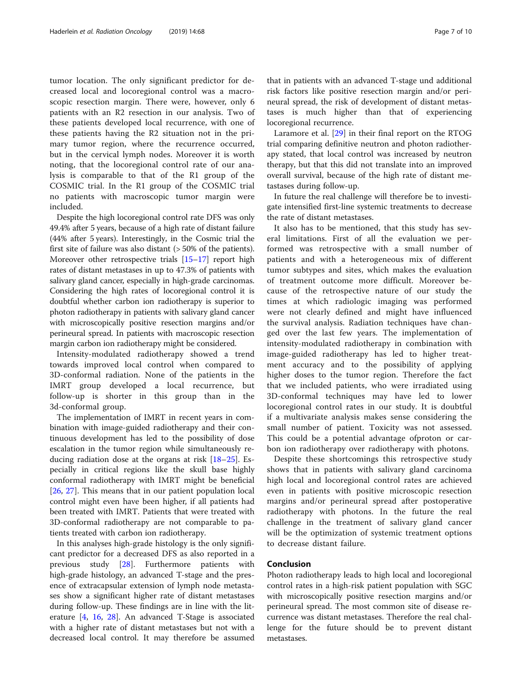tumor location. The only significant predictor for decreased local and locoregional control was a macroscopic resection margin. There were, however, only 6 patients with an R2 resection in our analysis. Two of these patients developed local recurrence, with one of these patients having the R2 situation not in the primary tumor region, where the recurrence occurred, but in the cervical lymph nodes. Moreover it is worth noting, that the locoregional control rate of our analysis is comparable to that of the R1 group of the COSMIC trial. In the R1 group of the COSMIC trial no patients with macroscopic tumor margin were included.

Despite the high locoregional control rate DFS was only 49.4% after 5 years, because of a high rate of distant failure (44% after 5 years). Interestingly, in the Cosmic trial the first site of failure was also distant (> 50% of the patients). Moreover other retrospective trials [\[15](#page-9-0)–[17\]](#page-9-0) report high rates of distant metastases in up to 47.3% of patients with salivary gland cancer, especially in high-grade carcinomas. Considering the high rates of locoregional control it is doubtful whether carbon ion radiotherapy is superior to photon radiotherapy in patients with salivary gland cancer with microscopically positive resection margins and/or perineural spread. In patients with macroscopic resection margin carbon ion radiotherapy might be considered.

Intensity-modulated radiotherapy showed a trend towards improved local control when compared to 3D-conformal radiation. None of the patients in the IMRT group developed a local recurrence, but follow-up is shorter in this group than in the 3d-conformal group.

The implementation of IMRT in recent years in combination with image-guided radiotherapy and their continuous development has led to the possibility of dose escalation in the tumor region while simultaneously reducing radiation dose at the organs at risk [[18](#page-9-0)–[25](#page-9-0)]. Especially in critical regions like the skull base highly conformal radiotherapy with IMRT might be beneficial [[26,](#page-9-0) [27\]](#page-9-0). This means that in our patient population local control might even have been higher, if all patients had been treated with IMRT. Patients that were treated with 3D-conformal radiotherapy are not comparable to patients treated with carbon ion radiotherapy.

In this analyses high-grade histology is the only significant predictor for a decreased DFS as also reported in a previous study [\[28\]](#page-9-0). Furthermore patients with high-grade histology, an advanced T-stage and the presence of extracapsular extension of lymph node metastases show a significant higher rate of distant metastases during follow-up. These findings are in line with the literature [[4,](#page-8-0) [16](#page-9-0), [28](#page-9-0)]. An advanced T-Stage is associated with a higher rate of distant metastases but not with a decreased local control. It may therefore be assumed that in patients with an advanced T-stage und additional risk factors like positive resection margin and/or perineural spread, the risk of development of distant metastases is much higher than that of experiencing locoregional recurrence.

Laramore et al. [[29\]](#page-9-0) in their final report on the RTOG trial comparing definitive neutron and photon radiotherapy stated, that local control was increased by neutron therapy, but that this did not translate into an improved overall survival, because of the high rate of distant metastases during follow-up.

In future the real challenge will therefore be to investigate intensified first-line systemic treatments to decrease the rate of distant metastases.

It also has to be mentioned, that this study has several limitations. First of all the evaluation we performed was retrospective with a small number of patients and with a heterogeneous mix of different tumor subtypes and sites, which makes the evaluation of treatment outcome more difficult. Moreover because of the retrospective nature of our study the times at which radiologic imaging was performed were not clearly defined and might have influenced the survival analysis. Radiation techniques have changed over the last few years. The implementation of intensity-modulated radiotherapy in combination with image-guided radiotherapy has led to higher treatment accuracy and to the possibility of applying higher doses to the tumor region. Therefore the fact that we included patients, who were irradiated using 3D-conformal techniques may have led to lower locoregional control rates in our study. It is doubtful if a multivariate analysis makes sense considering the small number of patient. Toxicity was not assessed. This could be a potential advantage ofproton or carbon ion radiotherapy over radiotherapy with photons.

Despite these shortcomings this retrospective study shows that in patients with salivary gland carcinoma high local and locoregional control rates are achieved even in patients with positive microscopic resection margins and/or perineural spread after postoperative radiotherapy with photons. In the future the real challenge in the treatment of salivary gland cancer will be the optimization of systemic treatment options to decrease distant failure.

### Conclusion

Photon radiotherapy leads to high local and locoregional control rates in a high-risk patient population with SGC with microscopically positive resection margins and/or perineural spread. The most common site of disease recurrence was distant metastases. Therefore the real challenge for the future should be to prevent distant metastases.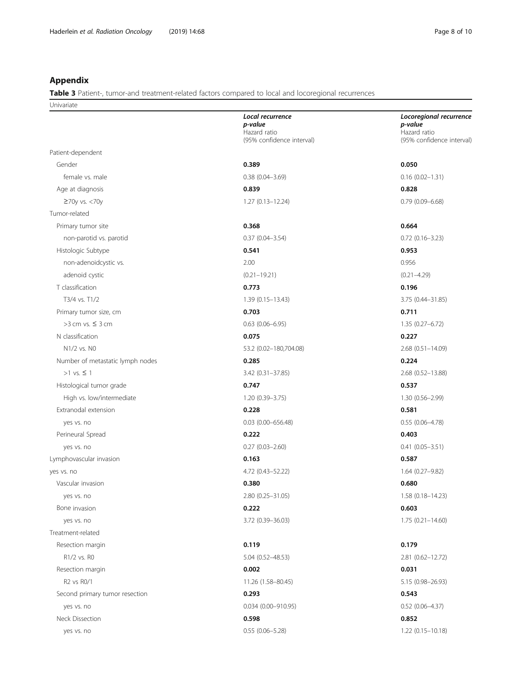### Appendix

Table 3 Patient-, tumor-and treatment-related factors compared to local and locoregional recurrences

Univariate

|                                  | Local recurrence<br>p-value<br>Hazard ratio<br>(95% confidence interval) | Locoregional recurrence<br>p-value<br>Hazard ratio<br>(95% confidence interval) |
|----------------------------------|--------------------------------------------------------------------------|---------------------------------------------------------------------------------|
| Patient-dependent                |                                                                          |                                                                                 |
| Gender                           | 0.389                                                                    | 0.050                                                                           |
| female vs. male                  | $0.38(0.04 - 3.69)$                                                      | $0.16(0.02 - 1.31)$                                                             |
| Age at diagnosis                 | 0.839                                                                    | 0.828                                                                           |
| $\geq$ 70y vs. <70y              | $1.27(0.13 - 12.24)$                                                     | $0.79(0.09 - 6.68)$                                                             |
| Tumor-related                    |                                                                          |                                                                                 |
| Primary tumor site               | 0.368                                                                    | 0.664                                                                           |
| non-parotid vs. parotid          | $0.37(0.04 - 3.54)$                                                      | $0.72$ (0.16-3.23)                                                              |
| Histologic Subtype               | 0.541                                                                    | 0.953                                                                           |
| non-adenoidcystic vs.            | 2.00                                                                     | 0.956                                                                           |
| adenoid cystic                   | $(0.21 - 19.21)$                                                         | $(0.21 - 4.29)$                                                                 |
| T classification                 | 0.773                                                                    | 0.196                                                                           |
| T3/4 vs. T1/2                    | $1.39(0.15 - 13.43)$                                                     | 3.75 (0.44-31.85)                                                               |
| Primary tumor size, cm           | 0.703                                                                    | 0.711                                                                           |
| $>3$ cm vs. $\leq 3$ cm          | $0.63$ $(0.06 - 6.95)$                                                   | $1.35(0.27 - 6.72)$                                                             |
| N classification                 | 0.075                                                                    | 0.227                                                                           |
| N1/2 vs. N0                      | 53.2 (0.02-180,704.08)                                                   | $2.68(0.51 - 14.09)$                                                            |
| Number of metastatic lymph nodes | 0.285                                                                    | 0.224                                                                           |
| $>1$ vs. $\leq$ 1                | 3.42 (0.31-37.85)                                                        | 2.68 (0.52-13.88)                                                               |
| Histological tumor grade         | 0.747                                                                    | 0.537                                                                           |
| High vs. low/intermediate        | 1.20 (0.39-3.75)                                                         | 1.30 (0.56-2.99)                                                                |
| Extranodal extension             | 0.228                                                                    | 0.581                                                                           |
| yes vs. no                       | $0.03$ $(0.00 - 656.48)$                                                 | $0.55(0.06 - 4.78)$                                                             |
| Perineural Spread                | 0.222                                                                    | 0.403                                                                           |
| yes vs. no                       | $0.27(0.03 - 2.60)$                                                      | $0.41(0.05 - 3.51)$                                                             |
| Lymphovascular invasion          | 0.163                                                                    | 0.587                                                                           |
| yes vs. no                       | 4.72 (0.43-52.22)                                                        | 1.64 (0.27-9.82)                                                                |
| Vascular invasion                | 0.380                                                                    | 0.680                                                                           |
| yes vs. no                       | 2.80 (0.25 - 31.05)                                                      | 1.58 (0.18-14.23)                                                               |
| Bone invasion                    | 0.222                                                                    | 0.603                                                                           |
| yes vs. no                       | 3.72 (0.39-36.03)                                                        | $1.75(0.21 - 14.60)$                                                            |
| Treatment-related                |                                                                          |                                                                                 |
| Resection margin                 | 0.119                                                                    | 0.179                                                                           |
| R1/2 vs. R0                      | $5.04(0.52 - 48.53)$                                                     | $2.81(0.62 - 12.72)$                                                            |
| Resection margin                 | 0.002                                                                    | 0.031                                                                           |
| R2 vs R0/1                       | 11.26 (1.58-80.45)                                                       | 5.15 (0.98-26.93)                                                               |
| Second primary tumor resection   | 0.293                                                                    | 0.543                                                                           |
| yes vs. no                       | 0.034 (0.00-910.95)                                                      | $0.52$ (0.06-4.37)                                                              |
| Neck Dissection                  | 0.598                                                                    | 0.852                                                                           |

yes vs. no 0.55 (0.06–5.28) 1.22 (0.15–10.18)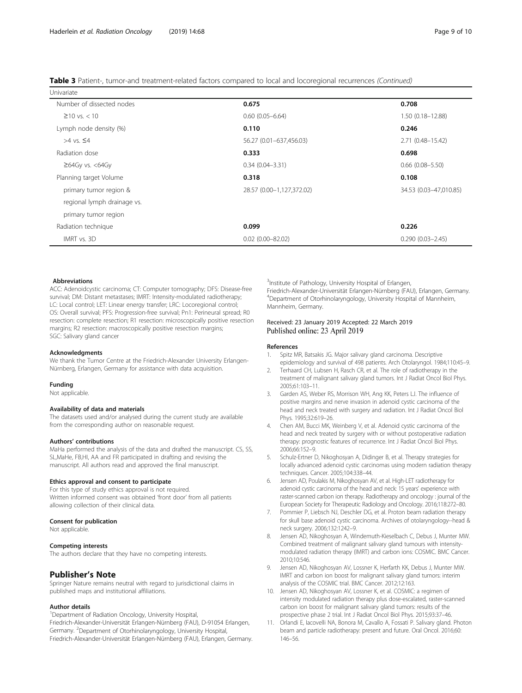<span id="page-8-0"></span>Table 3 Patient-, tumor-and treatment-related factors compared to local and locoregional recurrences (Continued)

| Univariate                  |                           |                        |
|-----------------------------|---------------------------|------------------------|
| Number of dissected nodes   | 0.675                     | 0.708                  |
| $≥10$ vs. < 10              | $0.60(0.05 - 6.64)$       | $1.50(0.18 - 12.88)$   |
| Lymph node density (%)      | 0.110                     | 0.246                  |
| $>4$ vs. $\leq 4$           | 56.27 (0.01-637,456.03)   | 2.71 (0.48-15.42)      |
| Radiation dose              | 0.333                     | 0.698                  |
| $\geq$ 64Gy vs. <64Gy       | $0.34(0.04 - 3.31)$       | $0.66(0.08 - 5.50)$    |
| Planning target Volume      | 0.318                     | 0.108                  |
| primary tumor region &      | 28.57 (0.00-1,127,372.02) | 34.53 (0.03-47,010.85) |
| regional lymph drainage vs. |                           |                        |
| primary tumor region        |                           |                        |
| Radiation technique         | 0.099                     | 0.226                  |
| IMRT vs. 3D                 | $0.02$ $(0.00 - 82.02)$   | $0.290(0.03 - 2.45)$   |

### **Abbreviations**

ACC: Adenoidcystic carcinoma; CT: Computer tomography; DFS: Disease-free survival; DM: Distant metastases; IMRT: Intensity-modulated radiotherapy; LC: Local control; LET: Linear energy transfer; LRC: Locoregional control; OS: Overall survival; PFS: Progression-free survival; Pn1: Perineural spread; R0 resection: complete resection; R1 resection: microscopically positive resection margins; R2 resection: macroscopically positive resection margins; SGC: Salivary gland cancer

### Acknowledgments

We thank the Tumor Centre at the Friedrich-Alexander University Erlangen-Nürnberg, Erlangen, Germany for assistance with data acquisition.

#### Funding

Not applicable.

### Availability of data and materials

The datasets used and/or analysed during the current study are available from the corresponding author on reasonable request.

#### Authors' contributions

MaHa performed the analysis of the data and drafted the manuscript. CS, SS, SL,MaHe, FB,HI, AA and FR participated in drafting and revising the manuscript. All authors read and approved the final manuscript.

### Ethics approval and consent to participate

For this type of study ethics approval is not required. Written informed consent was obtained 'front door' from all patients allowing collection of their clinical data.

### Consent for publication

Not applicable.

#### Competing interests

The authors declare that they have no competing interests.

### Publisher's Note

Springer Nature remains neutral with regard to jurisdictional claims in published maps and institutional affiliations.

### Author details

<sup>1</sup>Department of Radiation Oncology, University Hospital, Friedrich-Alexander-Universität Erlangen-Nürnberg (FAU), D-91054 Erlangen, Germany. <sup>2</sup>Department of Otorhinolaryngology, University Hospital, Friedrich-Alexander-Universität Erlangen-Nürnberg (FAU), Erlangen, Germany.

<sup>3</sup>Institute of Pathology, University Hospital of Erlangen, Friedrich-Alexander-Universität Erlangen-Nürnberg (FAU), Erlangen, Germany. 4 Department of Otorhinolaryngology, University Hospital of Mannheim, Mannheim, Germany.

### Received: 23 January 2019 Accepted: 22 March 2019 Published online: 23 April 2019

### References

- 1. Spitz MR, Batsakis JG. Major salivary gland carcinoma. Descriptive epidemiology and survival of 498 patients. Arch Otolaryngol. 1984;110:45–9.
- 2. Terhaard CH, Lubsen H, Rasch CR, et al. The role of radiotherapy in the treatment of malignant salivary gland tumors. Int J Radiat Oncol Biol Phys. 2005;61:103–11.
- 3. Garden AS, Weber RS, Morrison WH, Ang KK, Peters LJ. The influence of positive margins and nerve invasion in adenoid cystic carcinoma of the head and neck treated with surgery and radiation. Int J Radiat Oncol Biol Phys. 1995;32:619–26.
- 4. Chen AM, Bucci MK, Weinberg V, et al. Adenoid cystic carcinoma of the head and neck treated by surgery with or without postoperative radiation therapy: prognostic features of recurrence. Int J Radiat Oncol Biol Phys. 2006;66:152–9.
- 5. Schulz-Ertner D, Nikoghosyan A, Didinger B, et al. Therapy strategies for locally advanced adenoid cystic carcinomas using modern radiation therapy techniques. Cancer. 2005;104:338–44.
- 6. Jensen AD, Poulakis M, Nikoghosyan AV, et al. High-LET radiotherapy for adenoid cystic carcinoma of the head and neck: 15 years' experience with raster-scanned carbon ion therapy. Radiotherapy and oncology : journal of the European Society for Therapeutic Radiology and Oncology. 2016;118:272–80.
- Pommier P, Liebsch NJ, Deschler DG, et al. Proton beam radiation therapy for skull base adenoid cystic carcinoma. Archives of otolaryngology--head & neck surgery. 2006;132:1242–9.
- Jensen AD, Nikoghosyan A, Windemuth-Kieselbach C, Debus J, Munter MW. Combined treatment of malignant salivary gland tumours with intensitymodulated radiation therapy (IMRT) and carbon ions: COSMIC. BMC Cancer. 2010;10:546.
- Jensen AD, Nikoghosyan AV, Lossner K, Herfarth KK, Debus J, Munter MW. IMRT and carbon ion boost for malignant salivary gland tumors: interim analysis of the COSMIC trial. BMC Cancer. 2012;12:163.
- 10. Jensen AD, Nikoghosyan AV, Lossner K, et al. COSMIC: a regimen of intensity modulated radiation therapy plus dose-escalated, raster-scanned carbon ion boost for malignant salivary gland tumors: results of the prospective phase 2 trial. Int J Radiat Oncol Biol Phys. 2015;93:37–46.
- 11. Orlandi E, Iacovelli NA, Bonora M, Cavallo A, Fossati P. Salivary gland. Photon beam and particle radiotherapy: present and future. Oral Oncol. 2016;60: 146–56.